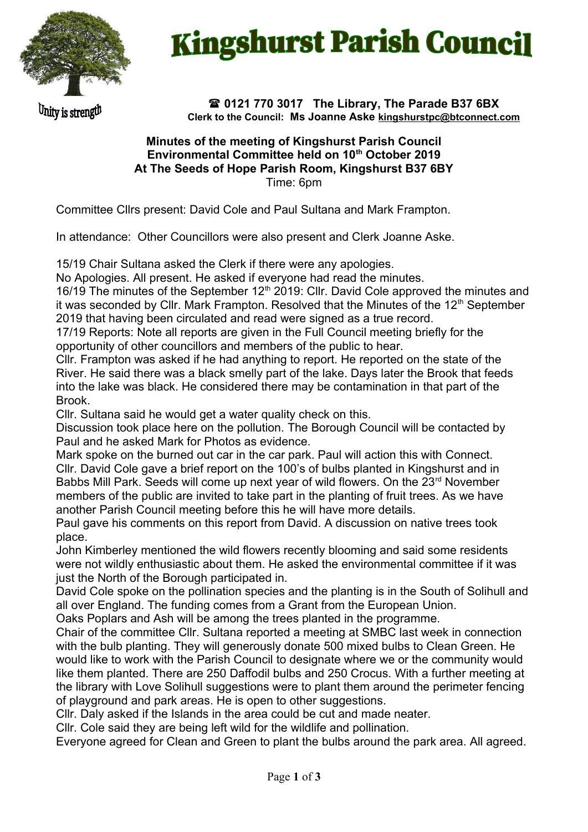

## **Kingshurst Parish Council**

Unity is strength

 **0121 770 3017 The Library, The Parade B37 6BX Clerk to the Council: Ms Joanne Aske [kingshurstpc@btconnect.com](mailto:kingshurstpc@btconnect.com)**

## **Minutes of the meeting of Kingshurst Parish Council Environmental Committee held on 10th October 2019 At The Seeds of Hope Parish Room, Kingshurst B37 6BY**  Time: 6pm

Committee Cllrs present: David Cole and Paul Sultana and Mark Frampton.

In attendance: Other Councillors were also present and Clerk Joanne Aske.

15/19 Chair Sultana asked the Clerk if there were any apologies.

No Apologies. All present. He asked if everyone had read the minutes.

16/19 The minutes of the September  $12<sup>th</sup>$  2019: Cllr. David Cole approved the minutes and it was seconded by Cllr. Mark Frampton. Resolved that the Minutes of the 12<sup>th</sup> September 2019 that having been circulated and read were signed as a true record.

17/19 Reports: Note all reports are given in the Full Council meeting briefly for the opportunity of other councillors and members of the public to hear.

Cllr. Frampton was asked if he had anything to report. He reported on the state of the River. He said there was a black smelly part of the lake. Days later the Brook that feeds into the lake was black. He considered there may be contamination in that part of the Brook.

Cllr. Sultana said he would get a water quality check on this.

Discussion took place here on the pollution. The Borough Council will be contacted by Paul and he asked Mark for Photos as evidence.

Mark spoke on the burned out car in the car park. Paul will action this with Connect. Cllr. David Cole gave a brief report on the 100's of bulbs planted in Kingshurst and in Babbs Mill Park. Seeds will come up next year of wild flowers. On the 23<sup>rd</sup> November members of the public are invited to take part in the planting of fruit trees. As we have another Parish Council meeting before this he will have more details.

Paul gave his comments on this report from David. A discussion on native trees took place.

John Kimberley mentioned the wild flowers recently blooming and said some residents were not wildly enthusiastic about them. He asked the environmental committee if it was just the North of the Borough participated in.

David Cole spoke on the pollination species and the planting is in the South of Solihull and all over England. The funding comes from a Grant from the European Union.

Oaks Poplars and Ash will be among the trees planted in the programme.

Chair of the committee Cllr. Sultana reported a meeting at SMBC last week in connection with the bulb planting. They will generously donate 500 mixed bulbs to Clean Green. He would like to work with the Parish Council to designate where we or the community would like them planted. There are 250 Daffodil bulbs and 250 Crocus. With a further meeting at the library with Love Solihull suggestions were to plant them around the perimeter fencing of playground and park areas. He is open to other suggestions.

Cllr. Daly asked if the Islands in the area could be cut and made neater.

Cllr. Cole said they are being left wild for the wildlife and pollination.

Everyone agreed for Clean and Green to plant the bulbs around the park area. All agreed.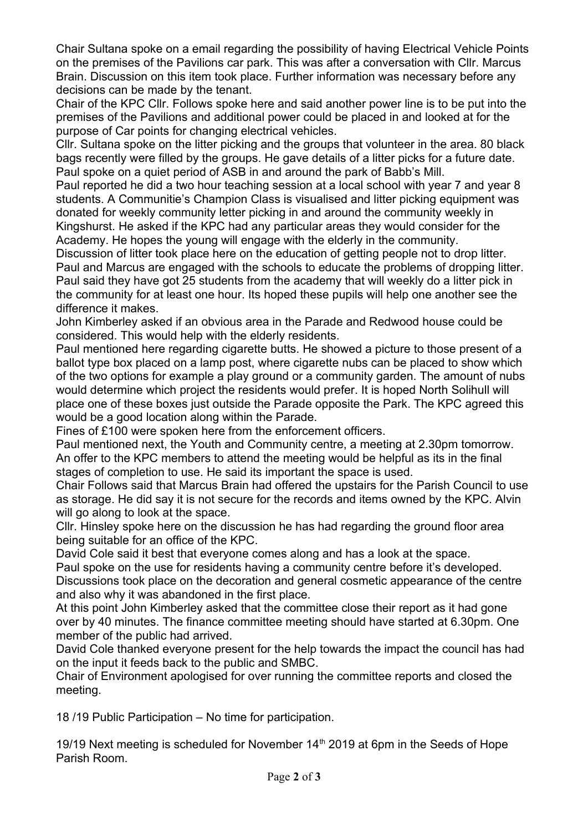Chair Sultana spoke on a email regarding the possibility of having Electrical Vehicle Points on the premises of the Pavilions car park. This was after a conversation with Cllr. Marcus Brain. Discussion on this item took place. Further information was necessary before any decisions can be made by the tenant.

Chair of the KPC Cllr. Follows spoke here and said another power line is to be put into the premises of the Pavilions and additional power could be placed in and looked at for the purpose of Car points for changing electrical vehicles.

Cllr. Sultana spoke on the litter picking and the groups that volunteer in the area. 80 black bags recently were filled by the groups. He gave details of a litter picks for a future date. Paul spoke on a quiet period of ASB in and around the park of Babb's Mill.

Paul reported he did a two hour teaching session at a local school with year 7 and year 8 students. A Communitie's Champion Class is visualised and litter picking equipment was donated for weekly community letter picking in and around the community weekly in Kingshurst. He asked if the KPC had any particular areas they would consider for the Academy. He hopes the young will engage with the elderly in the community.

Discussion of litter took place here on the education of getting people not to drop litter. Paul and Marcus are engaged with the schools to educate the problems of dropping litter. Paul said they have got 25 students from the academy that will weekly do a litter pick in the community for at least one hour. Its hoped these pupils will help one another see the difference it makes.

John Kimberley asked if an obvious area in the Parade and Redwood house could be considered. This would help with the elderly residents.

Paul mentioned here regarding cigarette butts. He showed a picture to those present of a ballot type box placed on a lamp post, where cigarette nubs can be placed to show which of the two options for example a play ground or a community garden. The amount of nubs would determine which project the residents would prefer. It is hoped North Solihull will place one of these boxes just outside the Parade opposite the Park. The KPC agreed this would be a good location along within the Parade.

Fines of £100 were spoken here from the enforcement officers.

Paul mentioned next, the Youth and Community centre, a meeting at 2.30pm tomorrow. An offer to the KPC members to attend the meeting would be helpful as its in the final stages of completion to use. He said its important the space is used.

Chair Follows said that Marcus Brain had offered the upstairs for the Parish Council to use as storage. He did say it is not secure for the records and items owned by the KPC. Alvin will go along to look at the space.

Cllr. Hinsley spoke here on the discussion he has had regarding the ground floor area being suitable for an office of the KPC.

David Cole said it best that everyone comes along and has a look at the space.

Paul spoke on the use for residents having a community centre before it's developed. Discussions took place on the decoration and general cosmetic appearance of the centre and also why it was abandoned in the first place.

At this point John Kimberley asked that the committee close their report as it had gone over by 40 minutes. The finance committee meeting should have started at 6.30pm. One member of the public had arrived.

David Cole thanked everyone present for the help towards the impact the council has had on the input it feeds back to the public and SMBC.

Chair of Environment apologised for over running the committee reports and closed the meeting.

18 /19 Public Participation – No time for participation.

19/19 Next meeting is scheduled for November  $14<sup>th</sup>$  2019 at 6pm in the Seeds of Hope Parish Room.